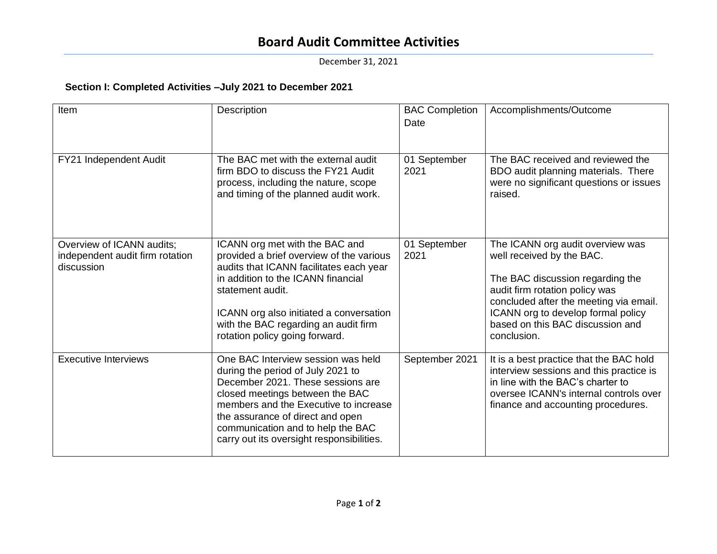## **Board Audit Committee Activities**

December 31, 2021

## **Section I: Completed Activities –July 2021 to December 2021**

| Item                                                                       | Description                                                                                                                                                                                                                                                                                                    | <b>BAC Completion</b><br>Date | Accomplishments/Outcome                                                                                                                                                                                                                                                |
|----------------------------------------------------------------------------|----------------------------------------------------------------------------------------------------------------------------------------------------------------------------------------------------------------------------------------------------------------------------------------------------------------|-------------------------------|------------------------------------------------------------------------------------------------------------------------------------------------------------------------------------------------------------------------------------------------------------------------|
| FY21 Independent Audit                                                     | The BAC met with the external audit<br>firm BDO to discuss the FY21 Audit<br>process, including the nature, scope<br>and timing of the planned audit work.                                                                                                                                                     | 01 September<br>2021          | The BAC received and reviewed the<br>BDO audit planning materials. There<br>were no significant questions or issues<br>raised.                                                                                                                                         |
| Overview of ICANN audits;<br>independent audit firm rotation<br>discussion | ICANN org met with the BAC and<br>provided a brief overview of the various<br>audits that ICANN facilitates each year<br>in addition to the ICANN financial<br>statement audit.<br>ICANN org also initiated a conversation<br>with the BAC regarding an audit firm<br>rotation policy going forward.           | 01 September<br>2021          | The ICANN org audit overview was<br>well received by the BAC.<br>The BAC discussion regarding the<br>audit firm rotation policy was<br>concluded after the meeting via email.<br>ICANN org to develop formal policy<br>based on this BAC discussion and<br>conclusion. |
| <b>Executive Interviews</b>                                                | One BAC Interview session was held<br>during the period of July 2021 to<br>December 2021. These sessions are<br>closed meetings between the BAC<br>members and the Executive to increase<br>the assurance of direct and open<br>communication and to help the BAC<br>carry out its oversight responsibilities. | September 2021                | It is a best practice that the BAC hold<br>interview sessions and this practice is<br>in line with the BAC's charter to<br>oversee ICANN's internal controls over<br>finance and accounting procedures.                                                                |